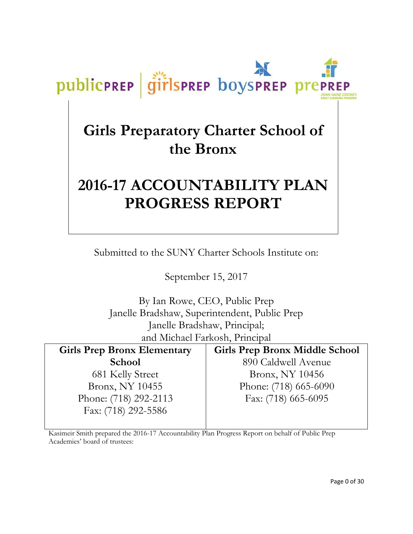# **Girls Preparatory Charter School of the Bronx**

publicPREP

girlsprep boysprep prep

# **2016-17 ACCOUNTABILITY PLAN PROGRESS REPORT**

Submitted to the SUNY Charter Schools Institute on:

September 15, 2017

By Ian Rowe, CEO, Public Prep Janelle Bradshaw, Superintendent, Public Prep Janelle Bradshaw, Principal; and Michael Farkosh, Principal

| <b>Girls Prep Bronx Elementary</b> | <b>Girls Prep Bronx Middle School</b> |
|------------------------------------|---------------------------------------|
| <b>School</b>                      | 890 Caldwell Avenue                   |
| 681 Kelly Street                   | Bronx, NY 10456                       |
| Bronx, NY 10455                    | Phone: (718) 665-6090                 |
| Phone: (718) 292-2113              | Fax: (718) 665-6095                   |
| Fax: (718) 292-5586                |                                       |

Kasimeir Smith prepared the 2016-17 Accountability Plan Progress Report on behalf of Public Prep Academies' board of trustees: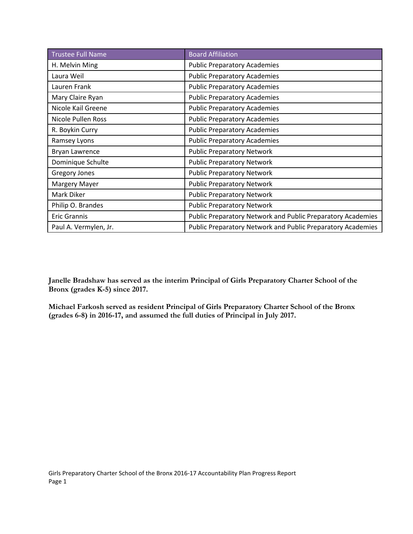| <b>Trustee Full Name</b> | <b>Board Affiliation</b>                                    |
|--------------------------|-------------------------------------------------------------|
| H. Melvin Ming           | <b>Public Preparatory Academies</b>                         |
| Laura Weil               | <b>Public Preparatory Academies</b>                         |
| Lauren Frank             | <b>Public Preparatory Academies</b>                         |
| Mary Claire Ryan         | <b>Public Preparatory Academies</b>                         |
| Nicole Kail Greene       | <b>Public Preparatory Academies</b>                         |
| Nicole Pullen Ross       | <b>Public Preparatory Academies</b>                         |
| R. Boykin Curry          | <b>Public Preparatory Academies</b>                         |
| Ramsey Lyons             | <b>Public Preparatory Academies</b>                         |
| Bryan Lawrence           | <b>Public Preparatory Network</b>                           |
| Dominique Schulte        | <b>Public Preparatory Network</b>                           |
| <b>Gregory Jones</b>     | <b>Public Preparatory Network</b>                           |
| Margery Mayer            | <b>Public Preparatory Network</b>                           |
| Mark Diker               | <b>Public Preparatory Network</b>                           |
| Philip O. Brandes        | <b>Public Preparatory Network</b>                           |
| <b>Eric Grannis</b>      | Public Preparatory Network and Public Preparatory Academies |
| Paul A. Vermylen, Jr.    | Public Preparatory Network and Public Preparatory Academies |

**Janelle Bradshaw has served as the interim Principal of Girls Preparatory Charter School of the Bronx (grades K-5) since 2017.**

**Michael Farkosh served as resident Principal of Girls Preparatory Charter School of the Bronx (grades 6-8) in 2016-17, and assumed the full duties of Principal in July 2017.**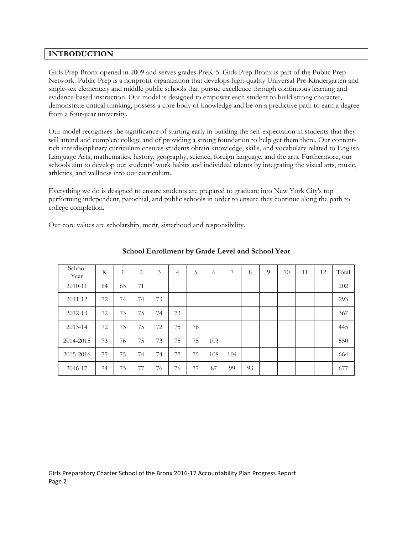# **INTRODUCTION**

Girls Prep Bronx opened in 2009 and serves grades PreK-5. Girls Prep Bronx is part of the Public Prep Network. Public Prep is a nonprofit organization that develops high-quality Universal Pre-Kindergarten and single-sex elementary and middle public schools that pursue excellence through continuous learning and evidence-based instruction. Our model is designed to empower each student to build strong character, demonstrate critical thinking, possess a core body of knowledge and be on a predictive path to earn a degree from a four-year university.

Our model recognizes the significance of starting early in building the self-expectation in students that they will attend and complete college and of providing a strong foundation to help get them there. Our contentrich interdisciplinary curriculum ensures students obtain knowledge, skills, and vocabulary related to English Language Arts, mathematics, history, geography, science, foreign language, and the arts. Furthermore, our schools aim to develop our students' work habits and individual talents by integrating the visual arts, music, athletics, and wellness into our curriculum.

Everything we do is designed to ensure students are prepared to graduate into New York City's top performing independent, parochial, and public schools in order to ensure they continue along the path to college completion.

Our core values are scholarship, merit, sisterhood and responsibility.

| School<br>Year | K  | 1  | $\overline{2}$ | 3  | $\overline{4}$ | 5  | 6   | 7   | 8  | $\Omega$ | 10 | 11 | 12 | Total |
|----------------|----|----|----------------|----|----------------|----|-----|-----|----|----------|----|----|----|-------|
| 2010-11        | 64 | 65 | 71             |    |                |    |     |     |    |          |    |    |    | 202   |
| 2011-12        | 72 | 74 | 74             | 73 |                |    |     |     |    |          |    |    |    | 293   |
| 2012-13        | 72 | 73 | 75             | 74 | 73             |    |     |     |    |          |    |    |    | 367   |
| 2013-14        | 72 | 75 | 75             | 72 | 75             | 76 |     |     |    |          |    |    |    | 445   |
| 2014-2015      | 73 | 76 | 75             | 73 | 75             | 75 | 103 |     |    |          |    |    |    | 550   |
| 2015-2016      | 77 | 75 | 74             | 74 | 77             | 75 | 108 | 104 |    |          |    |    |    | 664   |
| 2016-17        | 74 | 75 | 77             | 76 | 76             | 77 | 87  | 99  | 93 |          |    |    |    | 677   |

#### **School Enrollment by Grade Level and School Year**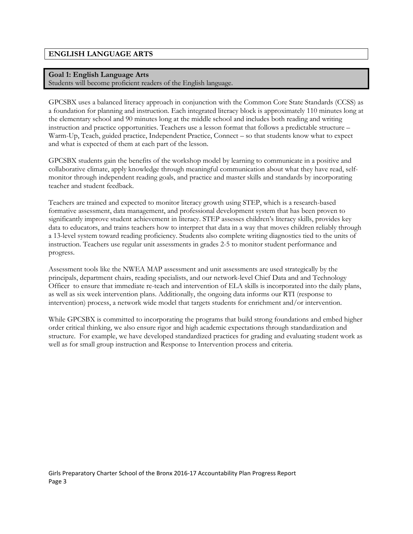# **ENGLISH LANGUAGE ARTS**

#### **Goal 1: English Language Arts**

Students will become proficient readers of the English language.

GPCSBX uses a balanced literacy approach in conjunction with the Common Core State Standards (CCSS) as a foundation for planning and instruction. Each integrated literacy block is approximately 110 minutes long at the elementary school and 90 minutes long at the middle school and includes both reading and writing instruction and practice opportunities. Teachers use a lesson format that follows a predictable structure – Warm-Up, Teach, guided practice, Independent Practice, Connect – so that students know what to expect and what is expected of them at each part of the lesson.

GPCSBX students gain the benefits of the workshop model by learning to communicate in a positive and collaborative climate, apply knowledge through meaningful communication about what they have read, selfmonitor through independent reading goals, and practice and master skills and standards by incorporating teacher and student feedback.

Teachers are trained and expected to monitor literacy growth using STEP, which is a research-based formative assessment, data management, and professional development system that has been proven to significantly improve student achievement in literacy. STEP assesses children's literacy skills, provides key data to educators, and trains teachers how to interpret that data in a way that moves children reliably through a 13-level system toward reading proficiency. Students also complete writing diagnostics tied to the units of instruction. Teachers use regular unit assessments in grades 2-5 to monitor student performance and progress.

Assessment tools like the NWEA MAP assessment and unit assessments are used strategically by the principals, department chairs, reading specialists, and our network-level Chief Data and and Technology Officer to ensure that immediate re-teach and intervention of ELA skills is incorporated into the daily plans, as well as six week intervention plans. Additionally, the ongoing data informs our RTI (response to intervention) process, a network wide model that targets students for enrichment and/or intervention.

While GPCSBX is committed to incorporating the programs that build strong foundations and embed higher order critical thinking, we also ensure rigor and high academic expectations through standardization and structure. For example, we have developed standardized practices for grading and evaluating student work as well as for small group instruction and Response to Intervention process and criteria.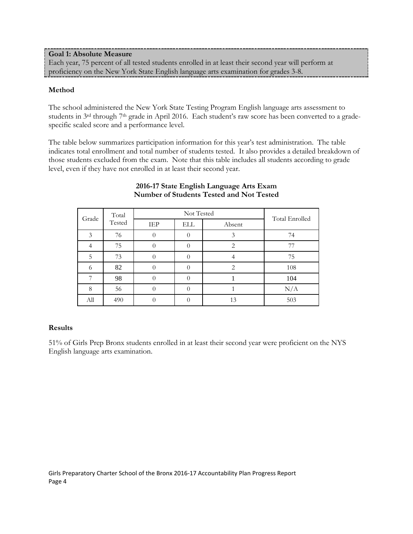#### **Goal 1: Absolute Measure** Each year, 75 percent of all tested students enrolled in at least their second year will perform at proficiency on the New York State English language arts examination for grades 3-8.

# **Method**

The school administered the New York State Testing Program English language arts assessment to students in 3<sup>rd</sup> through 7<sup>th</sup> grade in April 2016. Each student's raw score has been converted to a gradespecific scaled score and a performance level.

The table below summarizes participation information for this year's test administration. The table indicates total enrollment and total number of students tested. It also provides a detailed breakdown of those students excluded from the exam. Note that this table includes all students according to grade level, even if they have not enrolled in at least their second year.

| Total<br>Grade<br>Tested |     |                   | Total Enrolled |        |     |
|--------------------------|-----|-------------------|----------------|--------|-----|
|                          |     | IEP<br><b>ELL</b> |                | Absent |     |
| 3                        | 76  |                   |                |        | 74  |
|                          | 75  |                   |                | 2      | 77  |
| 5                        | 73  |                   |                |        | 75  |
|                          | 82  |                   |                |        | 108 |
| 7                        | 98  |                   |                |        | 104 |
| 8                        | 56  |                   |                |        | N/A |
| All                      | 490 |                   |                | 13     | 503 |

#### **2016-17 State English Language Arts Exam Number of Students Tested and Not Tested**

# **Results**

51% of Girls Prep Bronx students enrolled in at least their second year were proficient on the NYS English language arts examination.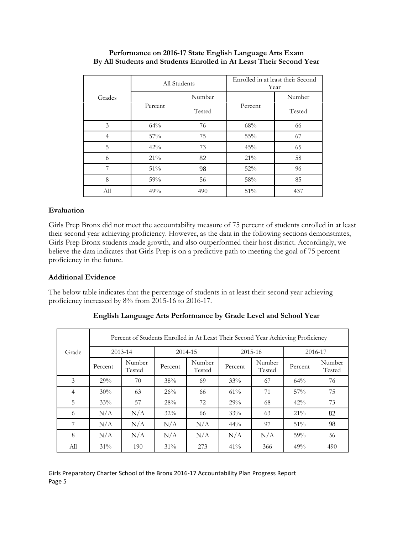|                |         | All Students | Enrolled in at least their Second<br>Year |        |  |
|----------------|---------|--------------|-------------------------------------------|--------|--|
| Grades         |         | Number       |                                           | Number |  |
|                | Percent | Tested       | Percent                                   | Tested |  |
| 3              | 64%     | 76           | 68%                                       | 66     |  |
| $\overline{4}$ | $57\%$  | 75           | 55%                                       | 67     |  |
| 5              | 42%     | 73           | 45%                                       | 65     |  |
| 6              | 21%     | 82           | 21%                                       | 58     |  |
| 7              | 51%     | 98           | 52%                                       | 96     |  |
| 8              | 59%     | 56           | 58%                                       | 85     |  |
| All            | 49%     | 490          | 51%                                       | 437    |  |

# **Performance on 2016-17 State English Language Arts Exam By All Students and Students Enrolled in At Least Their Second Year**

# **Evaluation**

Girls Prep Bronx did not meet the accountability measure of 75 percent of students enrolled in at least their second year achieving proficiency. However, as the data in the following sections demonstrates, Girls Prep Bronx students made growth, and also outperformed their host district. Accordingly, we believe the data indicates that Girls Prep is on a predictive path to meeting the goal of 75 percent proficiency in the future.

#### **Additional Evidence**

The below table indicates that the percentage of students in at least their second year achieving proficiency increased by 8% from 2015-16 to 2016-17.

|                |         | Percent of Students Enrolled in At Least Their Second Year Achieving Proficiency |         |                  |             |                  |         |                  |  |
|----------------|---------|----------------------------------------------------------------------------------|---------|------------------|-------------|------------------|---------|------------------|--|
| Grade          |         | $2013 - 14$                                                                      | 2014-15 |                  | $2015 - 16$ |                  | 2016-17 |                  |  |
|                | Percent | Number<br>Tested                                                                 | Percent | Number<br>Tested | Percent     | Number<br>Tested | Percent | Number<br>Tested |  |
| 3              | 29%     | 70                                                                               | 38%     | 69               | 33%         | 67               | 64%     | 76               |  |
| $\overline{4}$ | 30%     | 63                                                                               | 26%     | -66              | 61%         | 71               | 57%     | 75               |  |
| 5              | 33%     | 57                                                                               | 28%     | 72               | 29%         | 68               | 42%     | 73               |  |
| 6              | N/A     | N/A                                                                              | $32\%$  | -66              | 33%         | 63               | 21%     | 82               |  |
| 7              | N/A     | N/A                                                                              | N/A     | N/A              | $44\%$      | 97               | 51%     | 98               |  |
| 8              | N/A     | N/A                                                                              | N/A     | N/A              | N/A         | N/A              | 59%     | 56               |  |
| All            | 31%     | 190                                                                              | $31\%$  | 273              | 41%         | 366              | 49%     | 490              |  |

**English Language Arts Performance by Grade Level and School Year**

Girls Preparatory Charter School of the Bronx 2016-17 Accountability Plan Progress Report Page 5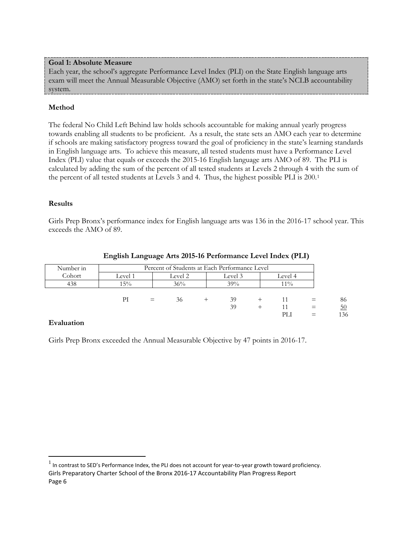### **Goal 1: Absolute Measure**

Each year, the school's aggregate Performance Level Index (PLI) on the State English language arts exam will meet the Annual Measurable Objective (AMO) set forth in the state's NCLB accountability system.

# **Method**

The federal No Child Left Behind law holds schools accountable for making annual yearly progress towards enabling all students to be proficient. As a result, the state sets an AMO each year to determine if schools are making satisfactory progress toward the goal of proficiency in the state's learning standards in English language arts. To achieve this measure, all tested students must have a Performance Level Index (PLI) value that equals or exceeds the 2015-16 English language arts AMO of 89. The PLI is calculated by adding the sum of the percent of all tested students at Levels 2 through 4 with the sum of the percent of all tested students at Levels 3 and 4. Thus, the highest possible PLI is 200.[1](#page-6-0)

# **Results**

Girls Prep Bronx's performance index for English language arts was 136 in the 2016-17 school year. This exceeds the AMO of 89.

| Number in | Percent of Students at Each Performance Level |                               |     |  |     |  |        |  |     |
|-----------|-----------------------------------------------|-------------------------------|-----|--|-----|--|--------|--|-----|
| Cohort    | Level 1                                       | Level 2<br>Level 3<br>Level 4 |     |  |     |  |        |  |     |
| 438       | 15%                                           |                               | 36% |  | 39% |  | $11\%$ |  |     |
|           |                                               |                               |     |  |     |  |        |  |     |
|           | РI                                            | $=$                           | 36  |  | 39  |  | 11     |  | 86  |
|           |                                               |                               |     |  | 39  |  |        |  | 50  |
|           |                                               |                               |     |  |     |  | PLI    |  | 136 |

#### **English Language Arts 2015-16 Performance Level Index (PLI)**

# **Evaluation**

Girls Prep Bronx exceeded the Annual Measurable Objective by 47 points in 2016-17.

<span id="page-6-0"></span>Girls Preparatory Charter School of the Bronx 2016-17 Accountability Plan Progress Report Page 6  $<sup>1</sup>$  In contrast to SED's Performance Index, the PLI does not account for year-to-year growth toward proficiency.</sup>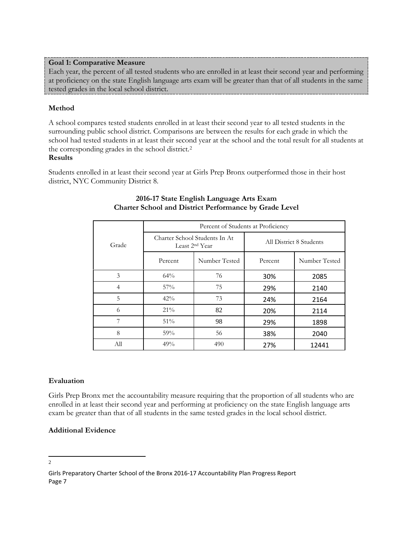# **Goal 1: Comparative Measure**

Each year, the percent of all tested students who are enrolled in at least their second year and performing at proficiency on the state English language arts exam will be greater than that of all students in the same tested grades in the local school district.

# **Method**

A school compares tested students enrolled in at least their second year to all tested students in the surrounding public school district. Comparisons are between the results for each grade in which the school had tested students in at least their second year at the school and the total result for all students at the corresponding grades in the school district.[2](#page-7-0) **Results**

Students enrolled in at least their second year at Girls Prep Bronx outperformed those in their host district, NYC Community District 8.

|                |           | Percent of Students at Proficiency                           |                         |               |  |  |  |  |  |  |
|----------------|-----------|--------------------------------------------------------------|-------------------------|---------------|--|--|--|--|--|--|
| Grade          |           | Charter School Students In At.<br>Least 2 <sup>nd</sup> Year | All District 8 Students |               |  |  |  |  |  |  |
|                | Percent   | Number Tested                                                |                         | Number Tested |  |  |  |  |  |  |
| 3              | 64%       | 76                                                           | 30%                     | 2085          |  |  |  |  |  |  |
| $\overline{4}$ | 57%       | 75                                                           | 29%                     | 2140          |  |  |  |  |  |  |
| 5              | 42%       | 73                                                           | 24%                     | 2164          |  |  |  |  |  |  |
| 6              | $21\%$    | 82                                                           | 20%                     | 2114          |  |  |  |  |  |  |
| 7              | 51%       | 98                                                           | 29%                     | 1898          |  |  |  |  |  |  |
| 8              | 56<br>59% |                                                              | 38%                     | 2040          |  |  |  |  |  |  |
| All            | 49%       | 490                                                          | 27%                     | 12441         |  |  |  |  |  |  |

# **2016-17 State English Language Arts Exam Charter School and District Performance by Grade Level**

# **Evaluation**

Girls Prep Bronx met the accountability measure requiring that the proportion of all students who are enrolled in at least their second year and performing at proficiency on the state English language arts exam be greater than that of all students in the same tested grades in the local school district.

# **Additional Evidence**

#### <span id="page-7-0"></span> $\frac{1}{2}$  $\overline{2}$

Girls Preparatory Charter School of the Bronx 2016-17 Accountability Plan Progress Report Page 7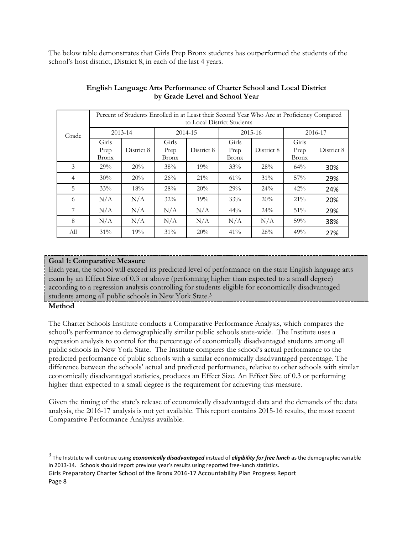The below table demonstrates that Girls Prep Bronx students has outperformed the students of the school's host district, District 8, in each of the last 4 years.

|                |                               | Percent of Students Enrolled in at Least their Second Year Who Are at Proficiency Compared<br>to Local District Students |                               |            |                               |             |                               |            |  |
|----------------|-------------------------------|--------------------------------------------------------------------------------------------------------------------------|-------------------------------|------------|-------------------------------|-------------|-------------------------------|------------|--|
| Grade          |                               | $2013 - 14$                                                                                                              | 2014-15                       |            |                               | $2015 - 16$ | 2016-17                       |            |  |
|                | Girls<br>Prep<br><b>Bronx</b> | District 8                                                                                                               | Girls<br>Prep<br><b>Bronx</b> | District 8 | Girls<br>Prep<br><b>Bronx</b> | District 8  | Girls<br>Prep<br><b>Bronx</b> | District 8 |  |
| 3              | 29%                           | 20%                                                                                                                      | 38%                           | 19%        | 33%                           | 28%         | 64%                           | 30%        |  |
| $\overline{4}$ | 30%                           | 20%                                                                                                                      | 26%                           | $21\%$     | 61%                           | 31%         | 57%                           | 29%        |  |
| 5              | 33%                           | 18%                                                                                                                      | 28%                           | 20%        | 29%                           | 24%         | 42%                           | 24%        |  |
| 6              | N/A                           | N/A                                                                                                                      | 32%                           | 19%        | 33%                           | 20%         | $21\%$                        | 20%        |  |
| 7              | N/A                           | N/A                                                                                                                      | N/A                           | N/A        | $44\%$                        | 24%         | 51%                           | 29%        |  |
| 8              | N/A                           | N/A                                                                                                                      | N/A                           | N/A        | N/A                           | N/A         | 59%                           | 38%        |  |
| All            | 31%                           | 19%                                                                                                                      | $31\%$                        | 20%        | 41%                           | 26%         | 49%                           | 27%        |  |

# **English Language Arts Performance of Charter School and Local District by Grade Level and School Year**

# **Goal 1: Comparative Measure**

Each year, the school will exceed its predicted level of performance on the state English language arts exam by an Effect Size of 0.3 or above (performing higher than expected to a small degree) according to a regression analysis controlling for students eligible for economically disadvantaged students among all public schools in New York State[.3](#page-8-0)

# **Method**

The Charter Schools Institute conducts a Comparative Performance Analysis, which compares the school's performance to demographically similar public schools state-wide. The Institute uses a regression analysis to control for the percentage of economically disadvantaged students among all public schools in New York State. The Institute compares the school's actual performance to the predicted performance of public schools with a similar economically disadvantaged percentage. The difference between the schools' actual and predicted performance, relative to other schools with similar economically disadvantaged statistics, produces an Effect Size. An Effect Size of 0.3 or performing higher than expected to a small degree is the requirement for achieving this measure.

Given the timing of the state's release of economically disadvantaged data and the demands of the data analysis, the 2016-17 analysis is not yet available. This report contains 2015-16 results, the most recent Comparative Performance Analysis available.

<span id="page-8-0"></span> <sup>3</sup> The Institute will continue using *economically disadvantaged* instead of *eligibility for free lunch* as the demographic variable in 2013-14. Schools should report previous year's results using reported free-lunch statistics.

Girls Preparatory Charter School of the Bronx 2016-17 Accountability Plan Progress Report Page 8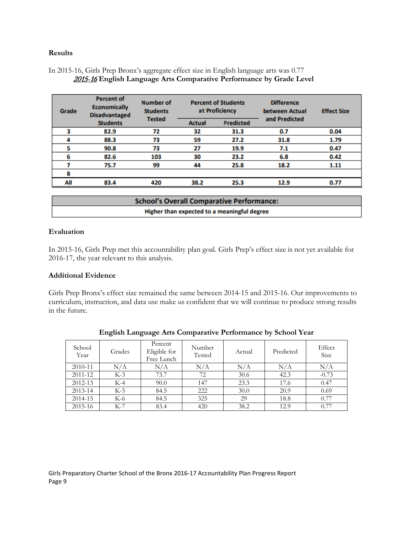#### **Results**

# In 2015-16, Girls Prep Bronx's aggregate effect size in English language arts was 0.77 2015-16 **English Language Arts Comparative Performance by Grade Level**

| Grade | <b>Percent of</b><br><b>Economically</b><br><b>Disadvantaged</b> | <b>Percent of Students</b><br><b>Number of</b><br>at Proficiency<br><b>Students</b> |               |                  | <b>Difference</b><br>between Actual | <b>Effect Size</b> |  |
|-------|------------------------------------------------------------------|-------------------------------------------------------------------------------------|---------------|------------------|-------------------------------------|--------------------|--|
|       | <b>Students</b>                                                  | <b>Tested</b>                                                                       | <b>Actual</b> | <b>Predicted</b> | and Predicted                       |                    |  |
| з     | 82.9                                                             | 72                                                                                  | 32            | 31.3             | 0.7                                 | 0.04               |  |
|       | 88.3                                                             | 73                                                                                  | 59            | 27.2             | 31.8                                | 1.79               |  |
|       | 90.8                                                             | 73                                                                                  | 27            | 19.9             | 7.1                                 | 0.47               |  |
| 6     | 82.6                                                             | 103                                                                                 | 30            | 23.2             | 6.8                                 | 0.42               |  |
|       | 75.7                                                             | 99                                                                                  | 44            | 25.8             | 18.2                                | 1.11               |  |
| 8     |                                                                  |                                                                                     |               |                  |                                     |                    |  |
| All   | 83.4                                                             | 420                                                                                 | 38.2          | 25.3             | 12.9                                | 0.77               |  |
|       |                                                                  |                                                                                     |               |                  |                                     |                    |  |

| <b>School's Overall Comparative Performance:</b> |  |  |  |  |  |  |
|--------------------------------------------------|--|--|--|--|--|--|
| Higher than expected to a meaningful degree      |  |  |  |  |  |  |

#### **Evaluation**

In 2015-16, Girls Prep met this accountability plan goal. Girls Prep's effect size is not yet available for 2016-17, the year relevant to this analysis.

#### **Additional Evidence**

Girls Prep Bronx's effect size remained the same between 2014-15 and 2015-16. Our improvements to curriculum, instruction, and data use make us confident that we will continue to produce strong results in the future.

| School<br>Year | Grades | Percent<br>Eligible for<br>Free Lunch | Number<br>Tested | Actual | Predicted | Effect<br>Size |
|----------------|--------|---------------------------------------|------------------|--------|-----------|----------------|
| 2010-11        | N/A    | N/A                                   | N/A              | N/A    | N/A       | N/A            |
| 2011-12        | $K-3$  | 73.7                                  | 72               | 30.6   | 42.3      | $-0.73$        |
| 2012-13        | $K-4$  | 90.0                                  | 147              | 23.3   | 17.6      | 0.47           |
| $2013 - 14$    | $K-5$  | 84.5                                  | 222              | 30.0   | 20.9      | 0.69           |
| 2014-15        | $K-6$  | 84.5                                  | 325              | 29     | 18.8      | 0.77           |
| 2015-16        | $K-7$  | 83.4                                  | 420              | 38.2   | 12.9      | 0.77           |

### **English Language Arts Comparative Performance by School Year**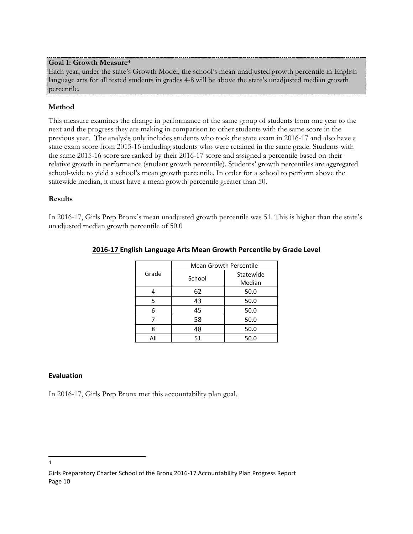#### **Goal 1: Growth Measure[4](#page-10-0)**

Each year, under the state's Growth Model, the school's mean unadjusted growth percentile in English language arts for all tested students in grades 4-8 will be above the state's unadjusted median growth percentile.

# **Method**

This measure examines the change in performance of the same group of students from one year to the next and the progress they are making in comparison to other students with the same score in the previous year. The analysis only includes students who took the state exam in 2016-17 and also have a state exam score from 2015-16 including students who were retained in the same grade. Students with the same 2015-16 score are ranked by their 2016-17 score and assigned a percentile based on their relative growth in performance (student growth percentile). Students' growth percentiles are aggregated school-wide to yield a school's mean growth percentile. In order for a school to perform above the statewide median, it must have a mean growth percentile greater than 50.

#### **Results**

In 2016-17, Girls Prep Bronx's mean unadjusted growth percentile was 51. This is higher than the state's unadjusted median growth percentile of 50.0

|       | <b>Mean Growth Percentile</b> |           |  |  |  |
|-------|-------------------------------|-----------|--|--|--|
| Grade | School                        | Statewide |  |  |  |
|       |                               | Median    |  |  |  |
|       | 62                            | 50.0      |  |  |  |
| 5     | 43                            | 50.0      |  |  |  |
| 6     | 45                            | 50.0      |  |  |  |
|       | 58                            | 50.0      |  |  |  |
| 8     | 48                            | 50.0      |  |  |  |
| ΑIΙ   | 51                            | 50.0      |  |  |  |

#### **2016-17 English Language Arts Mean Growth Percentile by Grade Level**

#### **Evaluation**

In 2016-17, Girls Prep Bronx met this accountability plan goal.

<span id="page-10-0"></span> $\frac{1}{4}$  $\overline{4}$ 

Girls Preparatory Charter School of the Bronx 2016-17 Accountability Plan Progress Report Page 10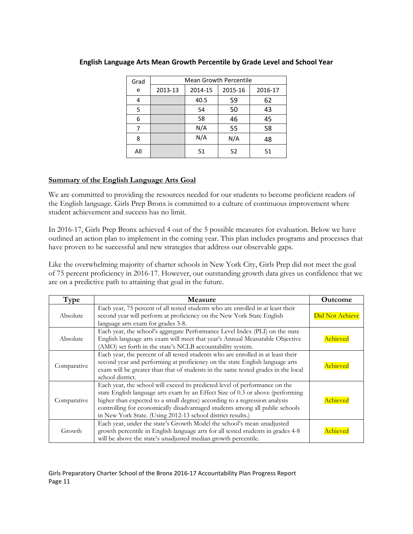| Grad | <b>Mean Growth Percentile</b> |         |         |         |  |  |  |
|------|-------------------------------|---------|---------|---------|--|--|--|
| e    | 2013-13                       | 2014-15 | 2015-16 | 2016-17 |  |  |  |
| 4    |                               | 40.5    | 59      | 62      |  |  |  |
| 5    |                               | 54      | 50      | 43      |  |  |  |
| 6    |                               | 58      | 46      | 45      |  |  |  |
| 7    |                               | N/A     | 55      | 58      |  |  |  |
| 8    |                               | N/A     | N/A     | 48      |  |  |  |
| All  |                               | 51      | 52      | 51      |  |  |  |

#### **English Language Arts Mean Growth Percentile by Grade Level and School Year**

#### **Summary of the English Language Arts Goal**

We are committed to providing the resources needed for our students to become proficient readers of the English language. Girls Prep Bronx is committed to a culture of continuous improvement where student achievement and success has no limit.

In 2016-17, Girls Prep Bronx achieved 4 out of the 5 possible measures for evaluation. Below we have outlined an action plan to implement in the coming year. This plan includes programs and processes that have proven to be successful and new strategies that address our observable gaps.

Like the overwhelming majority of charter schools in New York City, Girls Prep did not meet the goal of 75 percent proficiency in 2016-17. However, our outstanding growth data gives us confidence that we are on a predictive path to attaining that goal in the future.

| Type        | Measure                                                                                                                                                                                                                                                                                                                                                                                    | <b>Outcome</b>  |
|-------------|--------------------------------------------------------------------------------------------------------------------------------------------------------------------------------------------------------------------------------------------------------------------------------------------------------------------------------------------------------------------------------------------|-----------------|
| Absolute    | Each year, 75 percent of all tested students who are enrolled in at least their<br>second year will perform at proficiency on the New York State English<br>language arts exam for grades 3-8.                                                                                                                                                                                             | Did Not Achieve |
| Absolute    | Each year, the school's aggregate Performance Level Index (PLI) on the state<br>English language arts exam will meet that year's Annual Measurable Objective<br>(AMO) set forth in the state's NCLB accountability system.                                                                                                                                                                 | Achieved        |
| Comparative | Each year, the percent of all tested students who are enrolled in at least their<br>second year and performing at proficiency on the state English language arts<br>exam will be greater than that of students in the same tested grades in the local<br>school district.                                                                                                                  | Achieved        |
| Comparative | Each year, the school will exceed its predicted level of performance on the<br>state English language arts exam by an Effect Size of 0.3 or above (performing<br>higher than expected to a small degree) according to a regression analysis<br>controlling for economically disadvantaged students among all public schools<br>in New York State. (Using 2012-13 school district results.) | Achieved        |
| Growth      | Each year, under the state's Growth Model the school's mean unadjusted<br>growth percentile in English language arts for all tested students in grades 4-8<br>will be above the state's unadjusted median growth percentile.                                                                                                                                                               | Achieved        |

Girls Preparatory Charter School of the Bronx 2016-17 Accountability Plan Progress Report Page 11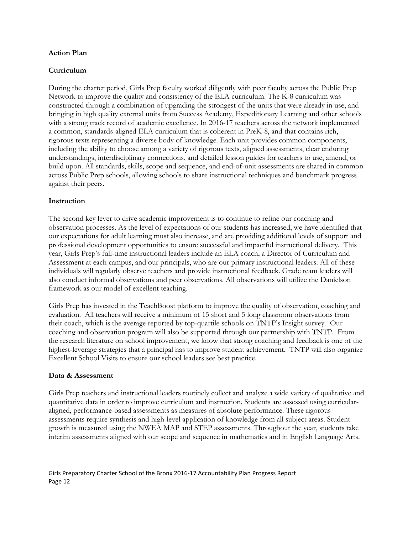#### **Action Plan**

# **Curriculum**

During the charter period, Girls Prep faculty worked diligently with peer faculty across the Public Prep Network to improve the quality and consistency of the ELA curriculum. The K-8 curriculum was constructed through a combination of upgrading the strongest of the units that were already in use, and bringing in high quality external units from Success Academy, Expeditionary Learning and other schools with a strong track record of academic excellence. In 2016-17 teachers across the network implemented a common, standards-aligned ELA curriculum that is coherent in PreK-8, and that contains rich, rigorous texts representing a diverse body of knowledge. Each unit provides common components, including the ability to choose among a variety of rigorous texts, aligned assessments, clear enduring understandings, interdisciplinary connections, and detailed lesson guides for teachers to use, amend, or build upon. All standards, skills, scope and sequence, and end-of-unit assessments are shared in common across Public Prep schools, allowing schools to share instructional techniques and benchmark progress against their peers.

# **Instruction**

The second key lever to drive academic improvement is to continue to refine our coaching and observation processes. As the level of expectations of our students has increased, we have identified that our expectations for adult learning must also increase, and are providing additional levels of support and professional development opportunities to ensure successful and impactful instructional delivery. This year, Girls Prep's full-time instructional leaders include an ELA coach, a Director of Curriculum and Assessment at each campus, and our principals, who are our primary instructional leaders. All of these individuals will regularly observe teachers and provide instructional feedback. Grade team leaders will also conduct informal observations and peer observations. All observations will utilize the Danielson framework as our model of excellent teaching.

Girls Prep has invested in the TeachBoost platform to improve the quality of observation, coaching and evaluation. All teachers will receive a minimum of 15 short and 5 long classroom observations from their coach, which is the average reported by top-quartile schools on TNTP's Insight survey. Our coaching and observation program will also be supported through our partnership with TNTP. From the research literature on school improvement, we know that strong coaching and feedback is one of the highest-leverage strategies that a principal has to improve student achievement. TNTP will also organize Excellent School Visits to ensure our school leaders see best practice.

#### **Data & Assessment**

Girls Prep teachers and instructional leaders routinely collect and analyze a wide variety of qualitative and quantitative data in order to improve curriculum and instruction. Students are assessed using curricularaligned, performance-based assessments as measures of absolute performance. These rigorous assessments require synthesis and high-level application of knowledge from all subject areas. Student growth is measured using the NWEA MAP and STEP assessments. Throughout the year, students take interim assessments aligned with our scope and sequence in mathematics and in English Language Arts.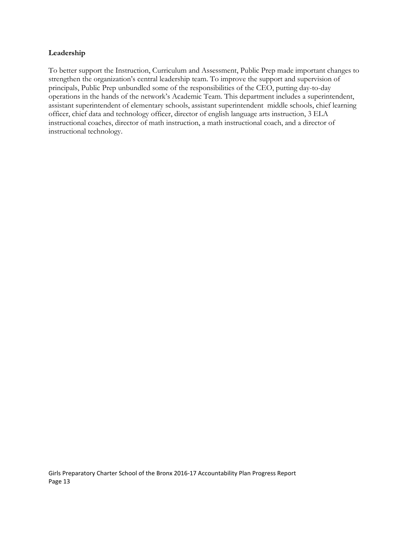# **Leadership**

To better support the Instruction, Curriculum and Assessment, Public Prep made important changes to strengthen the organization's central leadership team. To improve the support and supervision of principals, Public Prep unbundled some of the responsibilities of the CEO, putting day-to-day operations in the hands of the network's Academic Team. This department includes a superintendent, assistant superintendent of elementary schools, assistant superintendent middle schools, chief learning officer, chief data and technology officer, director of english language arts instruction, 3 ELA instructional coaches, director of math instruction, a math instructional coach, and a director of instructional technology.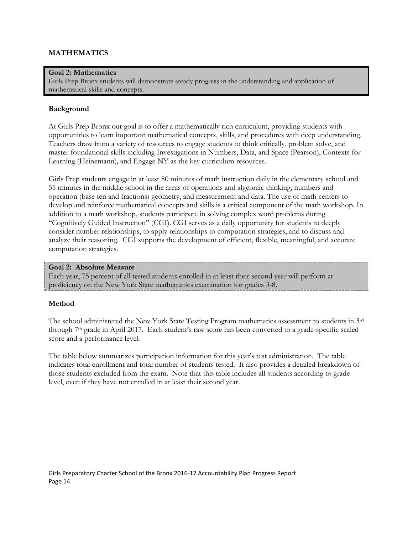# **MATHEMATICS**

#### **Goal 2: Mathematics**

Girls Prep Bronx students will demonstrate steady progress in the understanding and application of mathematical skills and concepts.

#### **Background**

At Girls Prep Bronx our goal is to offer a mathematically rich curriculum, providing students with opportunities to learn important mathematical concepts, skills, and procedures with deep understanding. Teachers draw from a variety of resources to engage students to think critically, problem solve, and master foundational skills including Investigations in Numbers, Data, and Space (Pearson), Contexts for Learning (Heinemann)**,** and Engage NY as the key curriculum resources.

Girls Prep students engage in at least 80 minutes of math instruction daily in the elementary school and 55 minutes in the middle school in the areas of operations and algebraic thinking, numbers and operation (base ten and fractions) geometry, and measurement and data. The use of math centers to develop and reinforce mathematical concepts and skills is a critical component of the math workshop. In addition to a math workshop, students participate in solving complex word problems during "Cognitively Guided Instruction" (CGI). CGI serves as a daily opportunity for students to deeply consider number relationships, to apply relationships to computation strategies, and to discuss and analyze their reasoning. CGI supports the development of efficient, flexible, meaningful, and accurate computation strategies.

#### **Goal 2: Absolute Measure**

Each year, 75 percent of all tested students enrolled in at least their second year will perform at proficiency on the New York State mathematics examination for grades 3-8.

#### **Method**

The school administered the New York State Testing Program mathematics assessment to students in 3rd through 7th grade in April 2017. Each student's raw score has been converted to a grade-specific scaled score and a performance level.

The table below summarizes participation information for this year's test administration. The table indicates total enrollment and total number of students tested. It also provides a detailed breakdown of those students excluded from the exam. Note that this table includes all students according to grade level, even if they have not enrolled in at least their second year.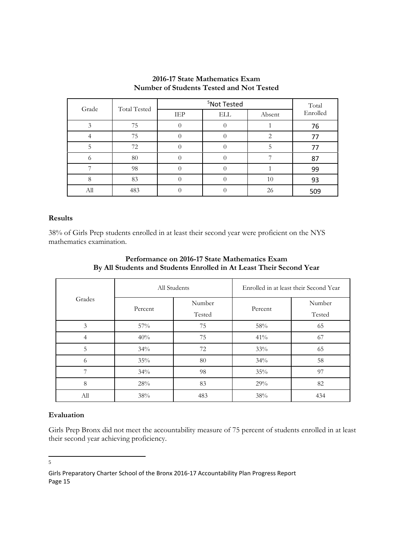| Grade | <b>Total Tested</b> |     | Total      |        |          |
|-------|---------------------|-----|------------|--------|----------|
|       |                     | IEP | <b>ELL</b> | Absent | Enrolled |
|       | 75                  |     |            |        | 76       |
|       | 75                  |     |            | 2      | 77       |
|       | 72                  |     |            |        | 77       |
| ∩     | 80                  |     |            |        | 87       |
|       | 98                  |     |            |        | 99       |
| 8     | 83                  |     |            | 10     | 93       |
| All   | 483                 |     |            | 26     | 509      |

### **2016-17 State Mathematics Exam Number of Students Tested and Not Tested**

#### **Results**

38% of Girls Prep students enrolled in at least their second year were proficient on the NYS mathematics examination.

|        |         | All Students | Enrolled in at least their Second Year |        |  |
|--------|---------|--------------|----------------------------------------|--------|--|
| Grades |         | Number       |                                        | Number |  |
|        | Percent | Tested       | Percent                                | Tested |  |
| 3      | 57%     | 75           | 58%                                    | 65     |  |
| 4      | 40%     | 75           | 41%                                    | 67     |  |
| 5      | 34%     | 72           | 33%                                    | 65     |  |
| 6      | 35%     | 80           | 34%                                    | 58     |  |
| 7      | 34%     | 98           | 35%                                    | 97     |  |
| 8      | 28%     | 83           | 29%                                    | 82     |  |
| All    | 38%     | 483          | 38%                                    | 434    |  |

# **Performance on 2016-17 State Mathematics Exam By All Students and Students Enrolled in At Least Their Second Year**

#### **Evaluation**

Girls Prep Bronx did not meet the accountability measure of 75 percent of students enrolled in at least their second year achieving proficiency.

<span id="page-15-0"></span> <sup>5</sup> $5\overline{)}$ 

Girls Preparatory Charter School of the Bronx 2016-17 Accountability Plan Progress Report Page 15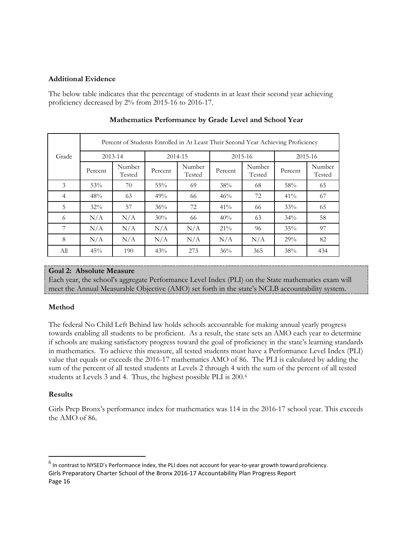#### **Additional Evidence**

The below table indicates that the percentage of students in at least their second year achieving proficiency decreased by 2% from 2015-16 to 2016-17.

|                | Percent of Students Enrolled in At Least Their Second Year Achieving Proficiency |                  |         |                  |         |                  |         |                  |  |  |
|----------------|----------------------------------------------------------------------------------|------------------|---------|------------------|---------|------------------|---------|------------------|--|--|
| Grade          | 2013-14                                                                          |                  |         | 2014-15          |         | 2015-16          | 2015-16 |                  |  |  |
|                | Percent                                                                          | Number<br>Tested | Percent | Number<br>Tested | Percent | Number<br>Tested | Percent | Number<br>Tested |  |  |
| 3              | 53%                                                                              | 70               | 55%     | 69               | 38%     | 68               | 58%     | 65               |  |  |
| $\overline{4}$ | 48%                                                                              | 63               | 49%     | 66               | 46%     | 72               | 41%     | 67               |  |  |
| 5              | 32%                                                                              | 57               | 36%     | 72               | 41%     | 66               | 33%     | 65               |  |  |
| 6              | N/A                                                                              | N/A              | 30%     | 66               | 40%     | 63               | 34%     | 58               |  |  |
| 7              | N/A                                                                              | N/A              | N/A     | N/A              | $21\%$  | 96               | 35%     | 97               |  |  |
| 8              | N/A                                                                              | N/A              | N/A     | N/A              | N/A     | N/A              | 29%     | 82               |  |  |
| All            | 45%                                                                              | 190              | 43%     | 273              | 36%     | 365              | 38%     | 434              |  |  |

# **Mathematics Performance by Grade Level and School Year**

# **Goal 2: Absolute Measure**

Each year, the school's aggregate Performance Level Index (PLI) on the State mathematics exam will meet the Annual Measurable Objective (AMO) set forth in the state's NCLB accountability system.

# **Method**

The federal No Child Left Behind law holds schools accountable for making annual yearly progress towards enabling all students to be proficient. As a result, the state sets an AMO each year to determine if schools are making satisfactory progress toward the goal of proficiency in the state's learning standards in mathematics. To achieve this measure, all tested students must have a Performance Level Index (PLI) value that equals or exceeds the 2016-17 mathematics AMO of 86. The PLI is calculated by adding the sum of the percent of all tested students at Levels 2 through 4 with the sum of the percent of all tested students at Levels 3 and 4. Thus, the highest possible PLI is 200.[6](#page-16-0)

# **Results**

Girls Prep Bronx's performance index for mathematics was 114 in the 2016-17 school year. This exceeds the AMO of 86.

<span id="page-16-0"></span>Girls Preparatory Charter School of the Bronx 2016-17 Accountability Plan Progress Report Page 16  $^6$  In contrast to NYSED's Performance Index, the PLI does not account for year-to-year growth toward proficiency.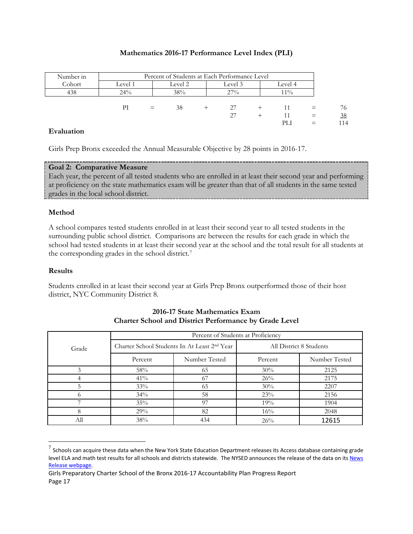#### **Mathematics 2016-17 Performance Level Index (PLI)**

| Number in |         | Percent of Students at Each Performance Level |         |  |         |  |         |     |     |
|-----------|---------|-----------------------------------------------|---------|--|---------|--|---------|-----|-----|
| Cohort    | Level 1 |                                               | Level 2 |  | Level 3 |  | Level 4 |     |     |
| 438       | 24%     |                                               | 38%     |  | 27%     |  | $11\%$  |     |     |
|           |         |                                               |         |  |         |  |         |     |     |
|           | PI      | $=$                                           | 38      |  | 27      |  |         |     | 76  |
|           |         |                                               |         |  | 27      |  |         | $=$ | 38  |
|           |         |                                               |         |  |         |  | PЫ      |     | 114 |

#### **Evaluation**

Girls Prep Bronx exceeded the Annual Measurable Objective by 28 points in 2016-17.

#### **Goal 2: Comparative Measure**

Each year, the percent of all tested students who are enrolled in at least their second year and performing at proficiency on the state mathematics exam will be greater than that of all students in the same tested grades in the local school district.

#### **Method**

A school compares tested students enrolled in at least their second year to all tested students in the surrounding public school district. Comparisons are between the results for each grade in which the school had tested students in at least their second year at the school and the total result for all students at the corresponding grades in the school district.[7](#page-17-0)

#### **Results**

Students enrolled in at least their second year at Girls Prep Bronx outperformed those of their host district, NYC Community District 8.

|       | Percent of Students at Proficiency |                                                          |                         |               |  |  |  |
|-------|------------------------------------|----------------------------------------------------------|-------------------------|---------------|--|--|--|
| Grade |                                    | Charter School Students In At Least 2 <sup>nd</sup> Year | All District 8 Students |               |  |  |  |
|       | Percent                            | Number Tested                                            | Percent                 | Number Tested |  |  |  |
|       | 58%                                | 65                                                       | 30%                     | 2125          |  |  |  |
|       | 41%                                | 67                                                       | 26%                     | 2175          |  |  |  |
| 5     | 33%                                | 65                                                       | 30%                     | 2207          |  |  |  |
|       | 34%                                | 58                                                       | 23%                     | 2156          |  |  |  |
|       | 35%                                | 97                                                       | 19%                     | 1904          |  |  |  |
| 8     | 29%                                | 82                                                       | 16%                     | 2048          |  |  |  |
| All   | 38%                                | 434                                                      | 26%                     | 12615         |  |  |  |

# **2016-17 State Mathematics Exam Charter School and District Performance by Grade Level**

<span id="page-17-0"></span> $7$  Schools can acquire these data when the New York State Education Department releases its Access database containing grade level ELA and math test results for all schools and districts statewide. The NYSED announces the release of the data on its News [Release webpage.](http://www.oms.nysed.gov/press/)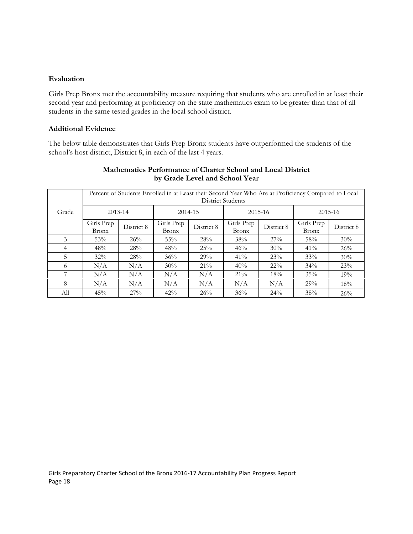#### **Evaluation**

Girls Prep Bronx met the accountability measure requiring that students who are enrolled in at least their second year and performing at proficiency on the state mathematics exam to be greater than that of all students in the same tested grades in the local school district.

#### **Additional Evidence**

The below table demonstrates that Girls Prep Bronx students have outperformed the students of the school's host district, District 8, in each of the last 4 years.

|       | Percent of Students Enrolled in at Least their Second Year Who Are at Proficiency Compared to Local<br>District Students |            |                            |            |                            |            |                            |            |  |  |  |
|-------|--------------------------------------------------------------------------------------------------------------------------|------------|----------------------------|------------|----------------------------|------------|----------------------------|------------|--|--|--|
| Grade | 2013-14                                                                                                                  |            | 2014-15                    |            | 2015-16                    |            | 2015-16                    |            |  |  |  |
|       | Girls Prep<br><b>Bronx</b>                                                                                               | District 8 | Girls Prep<br><b>Bronx</b> | District 8 | Girls Prep<br><b>Bronx</b> | District 8 | Girls Prep<br><b>Bronx</b> | District 8 |  |  |  |
| 3     | 53%                                                                                                                      | 26%        | $55\%$                     | 28%        | 38%                        | 27%        | 58%                        | 30%        |  |  |  |
| 4     | 48%                                                                                                                      | 28%        | 48%                        | 25%        | 46%                        | 30%        | 41%                        | 26%        |  |  |  |
| 5     | $32\%$                                                                                                                   | 28%        | $36\%$                     | 29%        | $41\%$                     | 23%        | 33%                        | 30%        |  |  |  |
| 6     | N/A                                                                                                                      | N/A        | 30%                        | $21\%$     | 40%                        | $22\%$     | 34%                        | 23%        |  |  |  |
|       | N/A                                                                                                                      | N/A        | N/A                        | N/A        | $21\%$                     | 18%        | 35%                        | 19%        |  |  |  |
| 8     | N/A                                                                                                                      | N/A        | N/A                        | N/A        | N/A                        | N/A        | 29%                        | 16%        |  |  |  |
| All   | 45%                                                                                                                      | 27%        | 42%                        | 26%        | 36%                        | 24%        | 38%                        | 26%        |  |  |  |

# **Mathematics Performance of Charter School and Local District by Grade Level and School Year**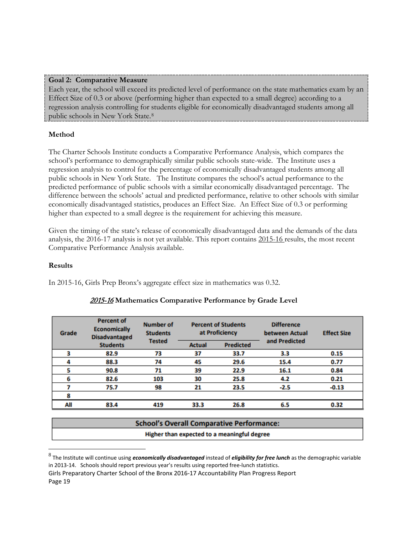#### **Goal 2: Comparative Measure**

Each year, the school will exceed its predicted level of performance on the state mathematics exam by an Effect Size of 0.3 or above (performing higher than expected to a small degree) according to a regression analysis controlling for students eligible for economically disadvantaged students among all public schools in New York State.[8](#page-19-0)

# **Method**

The Charter Schools Institute conducts a Comparative Performance Analysis, which compares the school's performance to demographically similar public schools state-wide. The Institute uses a regression analysis to control for the percentage of economically disadvantaged students among all public schools in New York State. The Institute compares the school's actual performance to the predicted performance of public schools with a similar economically disadvantaged percentage. The difference between the schools' actual and predicted performance, relative to other schools with similar economically disadvantaged statistics, produces an Effect Size. An Effect Size of 0.3 or performing higher than expected to a small degree is the requirement for achieving this measure.

Given the timing of the state's release of economically disadvantaged data and the demands of the data analysis, the 2016-17 analysis is not yet available. This report contains 2015-16 results, the most recent Comparative Performance Analysis available.

# **Results**

In 2015-16, Girls Prep Bronx's aggregate effect size in mathematics was 0.32.

| Grade | <b>Percent of</b><br><b>Economically</b><br><b>Disadvantaged</b> | <b>Number of</b><br><b>Students</b> | <b>Percent of Students</b><br>at Proficiency<br><b>Predicted</b><br><b>Actual</b> |      | <b>Difference</b><br>between Actual | <b>Effect Size</b> |
|-------|------------------------------------------------------------------|-------------------------------------|-----------------------------------------------------------------------------------|------|-------------------------------------|--------------------|
|       | <b>Students</b>                                                  | <b>Tested</b>                       |                                                                                   |      | and Predicted                       |                    |
|       | 82.9                                                             | 73                                  | 37                                                                                | 33.7 | 3.3                                 | 0.15               |
| 4     | 88.3                                                             | 74                                  | 45                                                                                | 29.6 | 15.4                                | 0.77               |
|       | 90.8                                                             | 71                                  | 39                                                                                | 22.9 | 16.1                                | 0.84               |
| 6     | 82.6                                                             | 103                                 | 30                                                                                | 25.8 | 4.2                                 | 0.21               |
|       | 75.7                                                             | 98                                  | 21                                                                                | 23.5 | $-2.5$                              | $-0.13$            |
| 8     |                                                                  |                                     |                                                                                   |      |                                     |                    |
| All   | 83.4                                                             | 419                                 | 33.3                                                                              | 26.8 | 6.5                                 | 0.32               |

# 2015-16 **Mathematics Comparative Performance by Grade Level**

Girls Preparatory Charter School of the Bronx 2016-17 Accountability Plan Progress Report Page 19

**School's Overall Comparative Performance:** Higher than expected to a meaningful degree

<span id="page-19-0"></span> <sup>8</sup> The Institute will continue using *economically disadvantaged* instead of *eligibility for free lunch* as the demographic variable in 2013-14. Schools should report previous year's results using reported free-lunch statistics.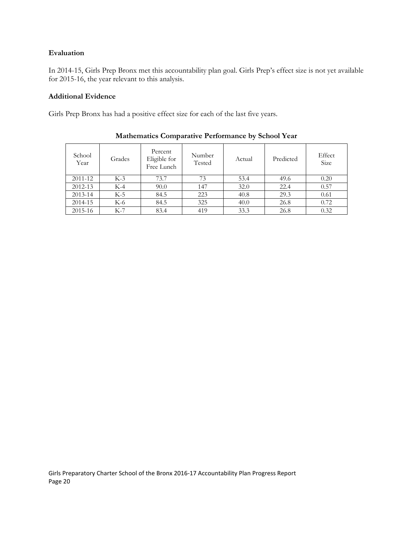# **Evaluation**

In 2014-15, Girls Prep Bronx met this accountability plan goal. Girls Prep's effect size is not yet available for 2015-16, the year relevant to this analysis.

# **Additional Evidence**

Girls Prep Bronx has had a positive effect size for each of the last five years.

| School<br>Year | Grades | Percent<br>Eligible for<br>Free Lunch | Number<br>Tested | Actual | Predicted | Effect<br>Size |
|----------------|--------|---------------------------------------|------------------|--------|-----------|----------------|
| 2011-12        | $K-3$  | 73.7                                  | 73               | 53.4   | 49.6      | 0.20           |
| 2012-13        | $K-4$  | 90.0                                  | 147              | 32.0   | 22.4      | 0.57           |
| 2013-14        | $K-5$  | 84.5                                  | 223              | 40.8   | 29.3      | 0.61           |
| 2014-15        | K-6    | 84.5                                  | 325              | 40.0   | 26.8      | 0.72           |
| 2015-16        | $K-7$  | 83.4                                  | 419              | 33.3   | 26.8      | 0.32           |

# **Mathematics Comparative Performance by School Year**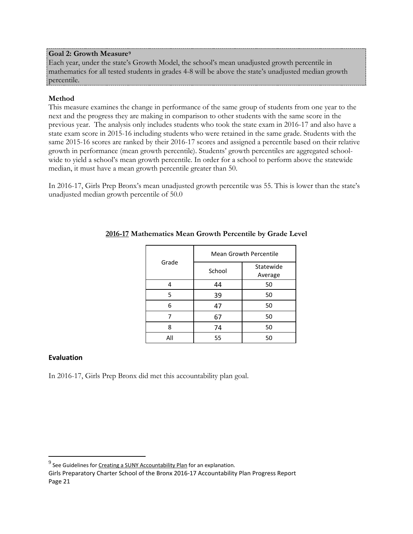#### **Goal 2: Growth Measure[9](#page-21-0)**

Each year, under the state's Growth Model, the school's mean unadjusted growth percentile in mathematics for all tested students in grades 4-8 will be above the state's unadjusted median growth percentile.

# **Method**

This measure examines the change in performance of the same group of students from one year to the next and the progress they are making in comparison to other students with the same score in the previous year. The analysis only includes students who took the state exam in 2016-17 and also have a state exam score in 2015-16 including students who were retained in the same grade. Students with the same 2015-16 scores are ranked by their 2016-17 scores and assigned a percentile based on their relative growth in performance (mean growth percentile). Students' growth percentiles are aggregated schoolwide to yield a school's mean growth percentile. In order for a school to perform above the statewide median, it must have a mean growth percentile greater than 50.

In 2016-17, Girls Prep Bronx's mean unadjusted growth percentile was 55. This is lower than the state's unadjusted median growth percentile of 50.0

| Grade | <b>Mean Growth Percentile</b> |                      |  |  |  |
|-------|-------------------------------|----------------------|--|--|--|
|       | School                        | Statewide<br>Average |  |  |  |
|       | 44                            | 50                   |  |  |  |
| 5     | 39                            | 50                   |  |  |  |
| 6     | 47                            | 50                   |  |  |  |
|       | 67                            | 50                   |  |  |  |
| 8     | 74                            | 50                   |  |  |  |
| All   | 55                            | 50                   |  |  |  |

# **2016-17 Mathematics Mean Growth Percentile by Grade Level**

# **Evaluation**

In 2016-17, Girls Prep Bronx did met this accountability plan goal.

Girls Preparatory Charter School of the Bronx 2016-17 Accountability Plan Progress Report Page 21

<span id="page-21-0"></span> $9$  See Guidelines fo[r Creating a SUNY Accountability Plan](http://www.newyorkcharters.org/operate/first-year-schools/accountability-plan/) for an explanation.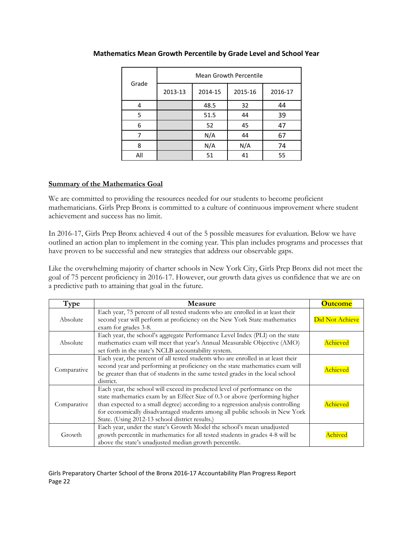|       | Mean Growth Percentile |         |         |         |  |  |
|-------|------------------------|---------|---------|---------|--|--|
| Grade | 2013-13                | 2014-15 | 2015-16 | 2016-17 |  |  |
| 4     |                        | 48.5    | 32      | 44      |  |  |
| 5     |                        | 51.5    | 44      | 39      |  |  |
| 6     |                        | 52      | 45      | 47      |  |  |
|       |                        | N/A     | 44      | 67      |  |  |
| 8     |                        | N/A     | N/A     | 74      |  |  |
| All   |                        | 51      | 41      | 55      |  |  |

# **Mathematics Mean Growth Percentile by Grade Level and School Year**

# **Summary of the Mathematics Goal**

We are committed to providing the resources needed for our students to become proficient mathematicians. Girls Prep Bronx is committed to a culture of continuous improvement where student achievement and success has no limit.

In 2016-17, Girls Prep Bronx achieved 4 out of the 5 possible measures for evaluation. Below we have outlined an action plan to implement in the coming year. This plan includes programs and processes that have proven to be successful and new strategies that address our observable gaps.

Like the overwhelming majority of charter schools in New York City, Girls Prep Bronx did not meet the goal of 75 percent proficiency in 2016-17. However, our growth data gives us confidence that we are on a predictive path to attaining that goal in the future.

| Type        | <b>Measure</b>                                                                                                                                                                                                                                                                                                                                                                   | <b>Outcome</b>  |
|-------------|----------------------------------------------------------------------------------------------------------------------------------------------------------------------------------------------------------------------------------------------------------------------------------------------------------------------------------------------------------------------------------|-----------------|
| Absolute    | Each year, 75 percent of all tested students who are enrolled in at least their<br>second year will perform at proficiency on the New York State mathematics<br>exam for grades 3-8.                                                                                                                                                                                             | Did Not Achieve |
| Absolute    | Each year, the school's aggregate Performance Level Index (PLI) on the state<br>mathematics exam will meet that year's Annual Measurable Objective (AMO)<br>set forth in the state's NCLB accountability system.                                                                                                                                                                 | Achieved        |
| Comparative | Each year, the percent of all tested students who are enrolled in at least their<br>second year and performing at proficiency on the state mathematics exam will<br>be greater than that of students in the same tested grades in the local school<br>district.                                                                                                                  | Achieved        |
| Comparative | Each year, the school will exceed its predicted level of performance on the<br>state mathematics exam by an Effect Size of 0.3 or above (performing higher<br>than expected to a small degree) according to a regression analysis controlling<br>for economically disadvantaged students among all public schools in New York<br>State. (Using 2012-13 school district results.) | Achieved        |
| Growth      | Each year, under the state's Growth Model the school's mean unadjusted<br>growth percentile in mathematics for all tested students in grades 4-8 will be<br>above the state's unadjusted median growth percentile.                                                                                                                                                               | .chive          |

Girls Preparatory Charter School of the Bronx 2016-17 Accountability Plan Progress Report Page 22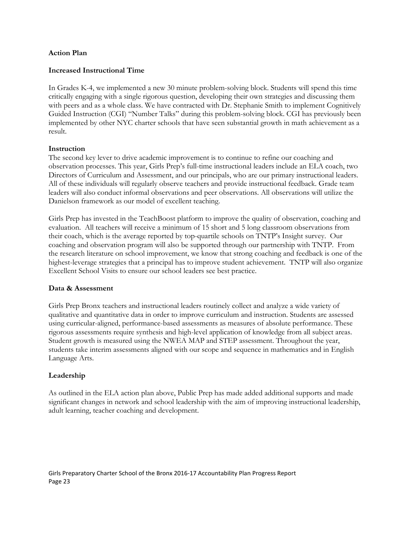#### **Action Plan**

#### **Increased Instructional Time**

In Grades K-4, we implemented a new 30 minute problem-solving block. Students will spend this time critically engaging with a single rigorous question, developing their own strategies and discussing them with peers and as a whole class. We have contracted with Dr. Stephanie Smith to implement Cognitively Guided Instruction (CGI) "Number Talks" during this problem-solving block. CGI has previously been implemented by other NYC charter schools that have seen substantial growth in math achievement as a result.

#### **Instruction**

The second key lever to drive academic improvement is to continue to refine our coaching and observation processes. This year, Girls Prep's full-time instructional leaders include an ELA coach, two Directors of Curriculum and Assessment, and our principals, who are our primary instructional leaders. All of these individuals will regularly observe teachers and provide instructional feedback. Grade team leaders will also conduct informal observations and peer observations. All observations will utilize the Danielson framework as our model of excellent teaching.

Girls Prep has invested in the TeachBoost platform to improve the quality of observation, coaching and evaluation. All teachers will receive a minimum of 15 short and 5 long classroom observations from their coach, which is the average reported by top-quartile schools on TNTP's Insight survey. Our coaching and observation program will also be supported through our partnership with TNTP. From the research literature on school improvement, we know that strong coaching and feedback is one of the highest-leverage strategies that a principal has to improve student achievement. TNTP will also organize Excellent School Visits to ensure our school leaders see best practice.

#### **Data & Assessment**

Girls Prep Bronx teachers and instructional leaders routinely collect and analyze a wide variety of qualitative and quantitative data in order to improve curriculum and instruction. Students are assessed using curricular-aligned, performance-based assessments as measures of absolute performance. These rigorous assessments require synthesis and high-level application of knowledge from all subject areas. Student growth is measured using the NWEA MAP and STEP assessment. Throughout the year, students take interim assessments aligned with our scope and sequence in mathematics and in English Language Arts.

#### **Leadership**

As outlined in the ELA action plan above, Public Prep has made added additional supports and made significant changes in network and school leadership with the aim of improving instructional leadership, adult learning, teacher coaching and development.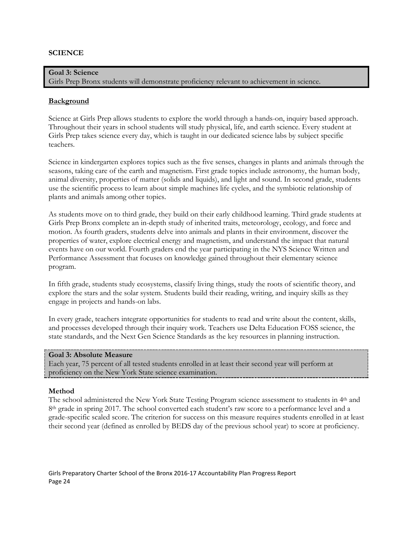# **SCIENCE**

### **Goal 3: Science**

Girls Prep Bronx students will demonstrate proficiency relevant to achievement in science.

#### **Background**

Science at Girls Prep allows students to explore the world through a hands-on, inquiry based approach. Throughout their years in school students will study physical, life, and earth science. Every student at Girls Prep takes science every day, which is taught in our dedicated science labs by subject specific teachers.

Science in kindergarten explores topics such as the five senses, changes in plants and animals through the seasons, taking care of the earth and magnetism. First grade topics include astronomy, the human body, animal diversity, properties of matter (solids and liquids), and light and sound. In second grade, students use the scientific process to learn about simple machines life cycles, and the symbiotic relationship of plants and animals among other topics.

As students move on to third grade, they build on their early childhood learning. Third grade students at Girls Prep Bronx complete an in-depth study of inherited traits, meteorology, ecology, and force and motion. As fourth graders, students delve into animals and plants in their environment, discover the properties of water, explore electrical energy and magnetism, and understand the impact that natural events have on our world. Fourth graders end the year participating in the NYS Science Written and Performance Assessment that focuses on knowledge gained throughout their elementary science program.

In fifth grade, students study ecosystems, classify living things, study the roots of scientific theory, and explore the stars and the solar system. Students build their reading, writing, and inquiry skills as they engage in projects and hands-on labs.

In every grade, teachers integrate opportunities for students to read and write about the content, skills, and processes developed through their inquiry work. Teachers use Delta Education FOSS science, the state standards, and the Next Gen Science Standards as the key resources in planning instruction.

#### **Goal 3: Absolute Measure**

Each year, 75 percent of all tested students enrolled in at least their second year will perform at proficiency on the New York State science examination.

#### **Method**

The school administered the New York State Testing Program science assessment to students in 4<sup>th</sup> and 8<sup>th</sup> grade in spring 2017. The school converted each student's raw score to a performance level and a grade-specific scaled score. The criterion for success on this measure requires students enrolled in at least their second year (defined as enrolled by BEDS day of the previous school year) to score at proficiency.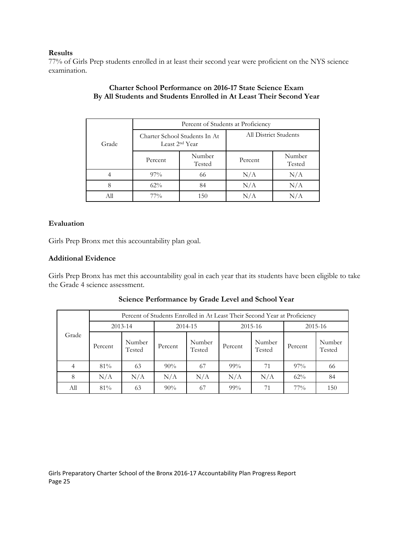#### **Results**

77% of Girls Prep students enrolled in at least their second year were proficient on the NYS science examination.

|       | Percent of Students at Proficiency |                                                             |                       |                  |  |  |
|-------|------------------------------------|-------------------------------------------------------------|-----------------------|------------------|--|--|
| Grade |                                    | Charter School Students In At<br>Least 2 <sup>nd</sup> Year | All District Students |                  |  |  |
|       | Percent                            | Number<br>Tested                                            | Percent               | Number<br>Tested |  |  |
|       | $97\%$                             | 66                                                          | N/A                   | N/A              |  |  |
|       | $62\%$                             | 84                                                          | N/A                   | N/A              |  |  |
|       | $77\%$                             | 150                                                         | $\rm N/A$             |                  |  |  |

### **Charter School Performance on 2016-17 State Science Exam By All Students and Students Enrolled in At Least Their Second Year**

#### **Evaluation**

Girls Prep Bronx met this accountability plan goal.

#### **Additional Evidence**

Girls Prep Bronx has met this accountability goal in each year that its students have been eligible to take the Grade 4 science assessment.

|             |         | Percent of Students Enrolled in At Least Their Second Year at Proficiency |         |                  |         |                  |             |                  |  |
|-------------|---------|---------------------------------------------------------------------------|---------|------------------|---------|------------------|-------------|------------------|--|
| $2013 - 14$ |         |                                                                           | 2014-15 |                  | 2015-16 |                  | $2015 - 16$ |                  |  |
| Grade       | Percent | Number<br>Tested                                                          | Percent | Number<br>Tested | Percent | Number<br>Tested | Percent     | Number<br>Tested |  |
|             | 81%     | 63                                                                        | 90%     | 67               | 99%     | 71               | $97\%$      | 66               |  |
| 8           | N/A     | N/A                                                                       | N/A     | N/A              | N/A     | N/A              | $62\%$      | 84               |  |
| All         | 81%     | 63                                                                        | 90%     | 67               | $99\%$  | 71               | $77\%$      | 150              |  |

**Science Performance by Grade Level and School Year**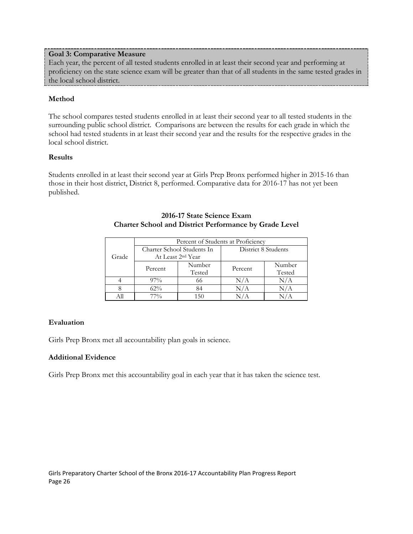#### **Goal 3: Comparative Measure**

Each year, the percent of all tested students enrolled in at least their second year and performing at proficiency on the state science exam will be greater than that of all students in the same tested grades in the local school district.

#### **Method**

The school compares tested students enrolled in at least their second year to all tested students in the surrounding public school district. Comparisons are between the results for each grade in which the school had tested students in at least their second year and the results for the respective grades in the local school district.

#### **Results**

Students enrolled in at least their second year at Girls Prep Bronx performed higher in 2015-16 than those in their host district, District 8, performed. Comparative data for 2016-17 has not yet been published.

|       | Percent of Students at Proficiency |        |                     |        |  |  |
|-------|------------------------------------|--------|---------------------|--------|--|--|
|       | Charter School Students In         |        | District 8 Students |        |  |  |
| Grade | At Least 2 <sup>nd</sup> Year      |        |                     |        |  |  |
|       | Percent                            | Number | Percent             | Number |  |  |
|       |                                    | Tested |                     | Tested |  |  |
|       | $97\%$                             | 66     | N/A                 | N/A    |  |  |
|       | 62%                                | 84     | N/A                 |        |  |  |
|       | 77%                                | 150    |                     |        |  |  |

#### **2016-17 State Science Exam Charter School and District Performance by Grade Level**

#### **Evaluation**

Girls Prep Bronx met all accountability plan goals in science.

#### **Additional Evidence**

Girls Prep Bronx met this accountability goal in each year that it has taken the science test.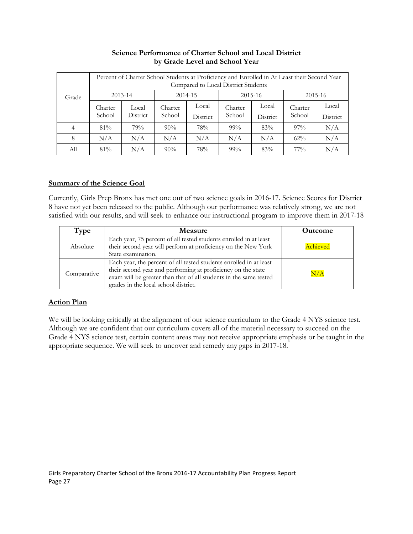|       | Percent of Charter School Students at Proficiency and Enrolled in At Least their Second Year<br>Compared to Local District Students |                          |                   |                   |                   |                   |                   |                   |
|-------|-------------------------------------------------------------------------------------------------------------------------------------|--------------------------|-------------------|-------------------|-------------------|-------------------|-------------------|-------------------|
| Grade |                                                                                                                                     | $2013 - 14$              |                   | 2014-15           |                   | $2015 - 16$       |                   | 2015-16           |
|       | Charter<br>School                                                                                                                   | Local<br><b>District</b> | Charter<br>School | Local<br>District | Charter<br>School | Local<br>District | Charter<br>School | Local<br>District |
| 4     | $81\%$                                                                                                                              | 79%                      | $90\%$            | 78%               | $99\%$            | 83%               | $97\%$            | N/A               |
| 8     | N/A                                                                                                                                 | N/A                      | N/A               | N/A               | N/A               | N/A               | 62%               | N/A               |
| Аll   | $81\%$                                                                                                                              | N/A                      | $90\%$            | 78%               | $99\%$            | 83%               | $77\%$            | N/A               |

# **Science Performance of Charter School and Local District by Grade Level and School Year**

# **Summary of the Science Goal**

Currently, Girls Prep Bronx has met one out of two science goals in 2016-17. Science Scores for District 8 have not yet been released to the public. Although our performance was relatively strong, we are not satisfied with our results, and will seek to enhance our instructional program to improve them in 2017-18

| Type        | <b>Measure</b>                                                                                                                                                                                                                                  | <b>Outcome</b> |
|-------------|-------------------------------------------------------------------------------------------------------------------------------------------------------------------------------------------------------------------------------------------------|----------------|
| Absolute    | Each year, 75 percent of all tested students enrolled in at least<br>their second year will perform at proficiency on the New York<br>State examination.                                                                                        | Achieved       |
| Comparative | Each year, the percent of all tested students enrolled in at least<br>their second year and performing at proficiency on the state<br>exam will be greater than that of all students in the same tested<br>grades in the local school district. | $\rm N/A$      |

# **Action Plan**

We will be looking critically at the alignment of our science curriculum to the Grade 4 NYS science test. Although we are confident that our curriculum covers all of the material necessary to succeed on the Grade 4 NYS science test, certain content areas may not receive appropriate emphasis or be taught in the appropriate sequence. We will seek to uncover and remedy any gaps in 2017-18.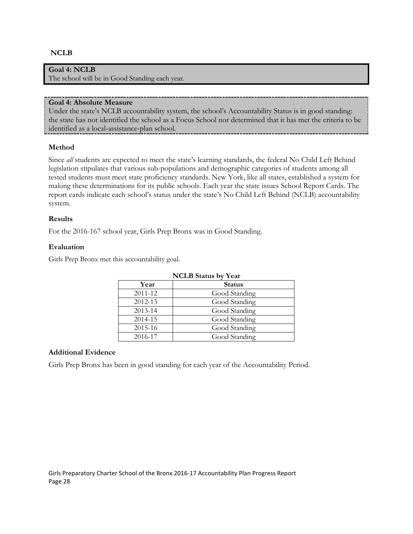#### **NCLB**

# **Goal 4: NCLB**

The school will be in Good Standing each year.

#### **Goal 4: Absolute Measure**

Under the state's NCLB accountability system, the school's Accountability Status is in good standing: the state has not identified the school as a Focus School nor determined that it has met the criteria to be identified as a local-assistance-plan school.

#### **Method**

Since *all* students are expected to meet the state's learning standards, the federal No Child Left Behind legislation stipulates that various sub-populations and demographic categories of students among all tested students must meet state proficiency standards. New York, like all states, established a system for making these determinations for its public schools. Each year the state issues School Report Cards. The report cards indicate each school's status under the state's No Child Left Behind (NCLB) accountability system.

#### **Results**

For the 2016-167 school year, Girls Prep Bronx was in Good Standing.

#### **Evaluation**

Girls Prep Bronx met this accountability goal.

| <b>NCLB</b> Status by Year |               |  |  |  |
|----------------------------|---------------|--|--|--|
| Year                       | <b>Status</b> |  |  |  |
| 2011-12                    | Good Standing |  |  |  |
| 2012-13                    | Good Standing |  |  |  |
| 2013-14                    | Good Standing |  |  |  |
| 2014-15                    | Good Standing |  |  |  |
| 2015-16                    | Good Standing |  |  |  |
| 2016-17                    | Good Standing |  |  |  |

#### **Additional Evidence**

Girls Prep Bronx has been in good standing for each year of the Accountability Period.